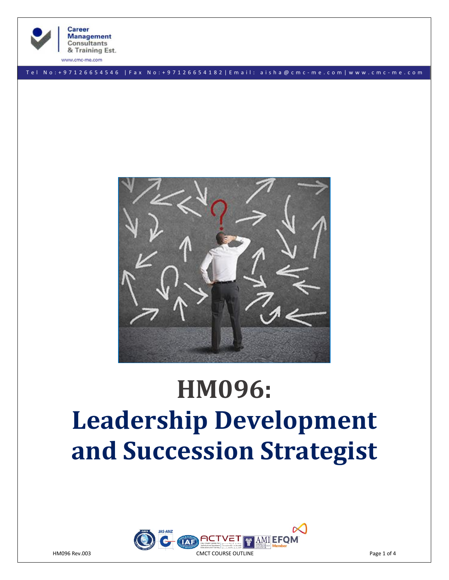

T e l N o : + 9 7 1 2 6 6 5 4 5 4 6 | F a x N o : + 9 7 1 2 6 6 5 4 1 8 2 | E m a i l : a i s h a @ c m c - m e . c o m | w w w . c m c - m e . c o m



# **HM096: Leadership Development and Succession Strategist**

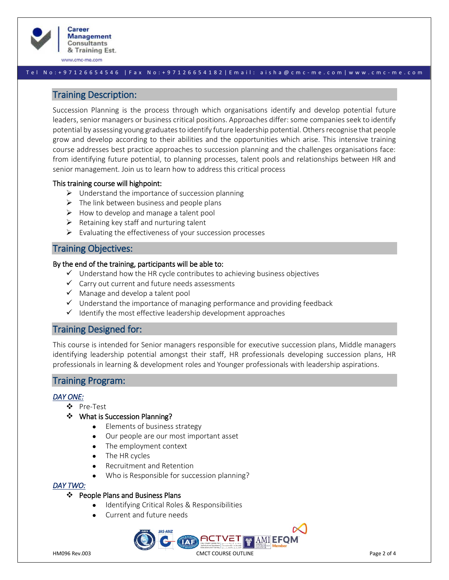

#### T e l N o : + 9 7 1 2 6 6 5 4 5 4 6 | F a x N o : + 9 7 1 2 6 6 5 4 1 8 2 | E m a i l : a i s h a @ c m c - m e . c o m | w w w . c m c - m e . c o m

## Training Description:

Succession Planning is the process through which organisations identify and develop potential future leaders, senior managers or business critical positions. Approaches differ: some companies seek to identify potential by assessing young graduates to identify future leadership potential. Others recognise that people grow and develop according to their abilities and the opportunities which arise. This intensive training course addresses best practice approaches to succession planning and the challenges organisations face: from identifying future potential, to planning processes, talent pools and relationships between HR and senior management. Join us to learn how to address this critical process

#### This training course will highpoint:

- $\triangleright$  Understand the importance of succession planning
- $\triangleright$  The link between business and people plans
- $\triangleright$  How to develop and manage a talent pool
- $\triangleright$  Retaining key staff and nurturing talent
- $\triangleright$  Evaluating the effectiveness of your succession processes

# Training Objectives:

#### By the end of the training, participants will be able to:

- $\checkmark$  Understand how the HR cycle contributes to achieving business objectives
- ✓ Carry out current and future needs assessments
- $\checkmark$  Manage and develop a talent pool
- $\checkmark$  Understand the importance of managing performance and providing feedback
- $\checkmark$  Identify the most effective leadership development approaches

# Training Designed for:

This course is intended for Senior managers responsible for executive succession plans, Middle managers identifying leadership potential amongst their staff, HR professionals developing succession plans, HR professionals in learning & development roles and Younger professionals with leadership aspirations.

# Training Program:

#### *DAY ONE:*

- ❖ Pre-Test
- ❖ What is Succession Planning?
	- Elements of business strategy
	- Our people are our most important asset
	- The employment context
	- The HR cycles
	- Recruitment and Retention
	- Who is Responsible for succession planning?

#### *DAY TWO:*

#### ❖ People Plans and Business Plans

- Identifying Critical Roles & Responsibilities
- Current and future needs

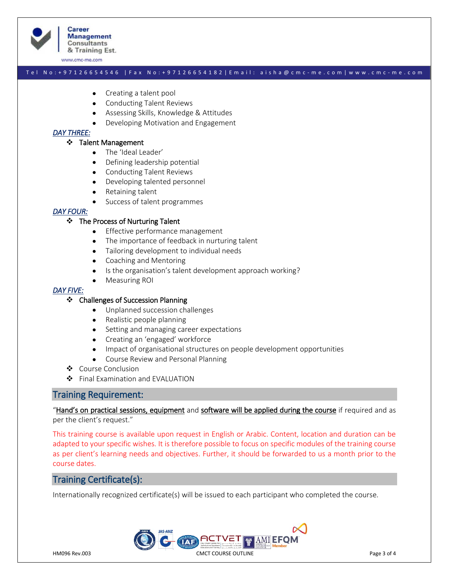

#### T e l N o : + 9 7 1 2 6 6 5 4 5 4 6 | F a x N o : + 9 7 1 2 6 6 5 4 1 8 2 | E m a i l : a i s h a @ c m c - m e . c o m | w w w . c m c - m e . c o m

- Creating a talent pool
- Conducting Talent Reviews
- Assessing Skills, Knowledge & Attitudes
- Developing Motivation and Engagement

#### *DAY THREE:*

#### ❖ Talent Management

- The 'Ideal Leader'
- Defining leadership potential
- Conducting Talent Reviews
- Developing talented personnel
- Retaining talent
- Success of talent programmes

#### *DAY FOUR:*

#### ❖ The Process of Nurturing Talent

- Effective performance management
- The importance of feedback in nurturing talent
- Tailoring development to individual needs
- Coaching and Mentoring
- Is the organisation's talent development approach working?
- Measuring ROI

#### *DAY FIVE:*

#### ❖ Challenges of Succession Planning

- Unplanned succession challenges
- Realistic people planning
- Setting and managing career expectations
- Creating an 'engaged' workforce
- Impact of organisational structures on people development opportunities
- Course Review and Personal Planning
- ❖ Course Conclusion
- ❖ Final Examination and EVALUATION

## Training Requirement:

"Hand's on practical sessions, equipment and software will be applied during the course if required and as per the client's request."

This training course is available upon request in English or Arabic. Content, location and duration can be adapted to your specific wishes. It is therefore possible to focus on specific modules of the training course as per client's learning needs and objectives. Further, it should be forwarded to us a month prior to the course dates.

# Training Certificate(s):

Internationally recognized certificate(s) will be issued to each participant who completed the course.